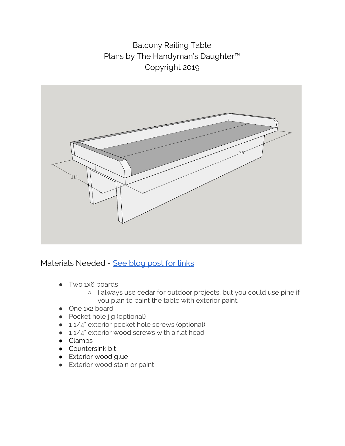Balcony Railing Table Plans by The Handyman's Daughter™ Copyright 2019



Materials Needed - See [blog](http://www.thehandymansdaughter.com/balcony-railing-table) post for links

- Two 1x6 boards
	- I always use cedar for outdoor projects, but you could use pine if you plan to paint the table with exterior paint.
- One 1x2 board
- Pocket hole jig (optional)
- 11/4" exterior pocket hole screws (optional)
- 11/4" exterior wood screws with a flat head
- Clamps
- Countersink bit
- Exterior wood glue
- Exterior wood stain or paint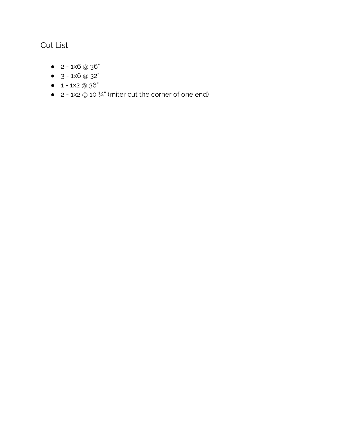## Cut List

- $-2 1x6 \text{ } \textcircled{3} 6$ "
- $-3 1 \times 6$  @ 32"
- $-1 1 \times 2 \text{ } \textcircled{a} 36"$
- $\bullet$  2 1x2  $\circledcirc$  10  $\frac{1}{4}$ " (miter cut the corner of one end)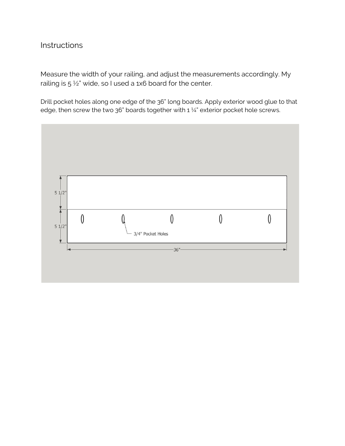## **Instructions**

Measure the width of your railing, and adjust the measurements accordingly. My railing is  $5\frac{1}{2}$ " wide, so I used a 1x6 board for the center.

Drill pocket holes along one edge of the 36" long boards. Apply exterior wood glue to that edge, then screw the two 36" boards together with 1 1/4" exterior pocket hole screws.

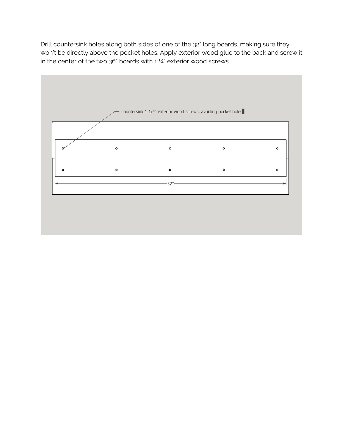Drill countersink holes along both sides of one of the 32" long boards, making sure they won't be directly above the pocket holes. Apply exterior wood glue to the back and screw it in the center of the two 36" boards with  $1\frac{1}{4}$ " exterior wood screws.

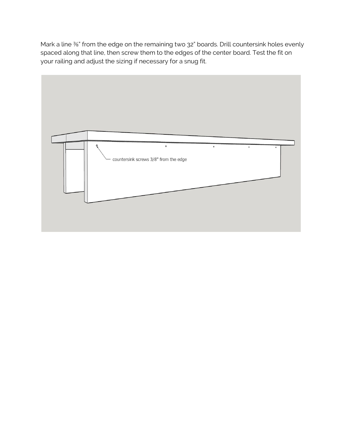Mark a line <sup>3</sup>%" from the edge on the remaining two 32" boards. Drill countersink holes evenly spaced along that line, then screw them to the edges of the center board. Test the fit on your railing and adjust the sizing if necessary for a snug fit.

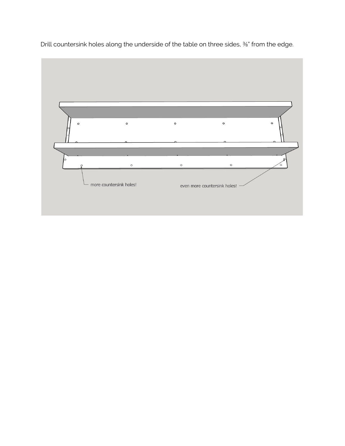

Drill countersink holes along the underside of the table on three sides,  $\frac{2}{8}$ " from the edge.